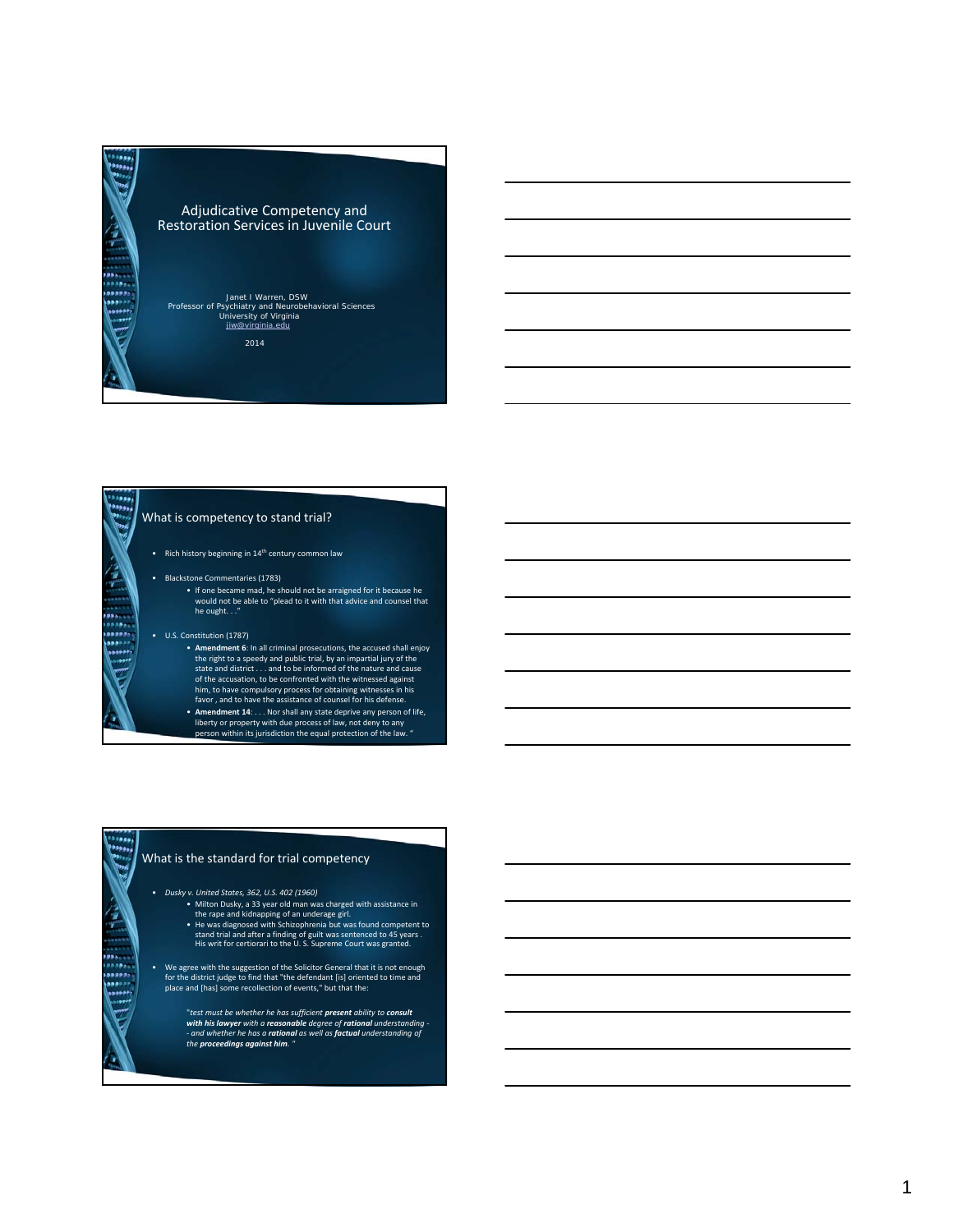

### What is competency to stand trial?

• Rich history beginning in 14th century common law

- Blackstone Commentaries (1783)
	- If one became mad, he should not be arraigned for it because he would not be able to "plead to it with that advice and counsel that he ought. . ."

#### • U.S. Constitution (1787)

.....

Ą

------<br>\*\*\*---<br>\*\*\*\*\* 

> .... وووفا

 $\hat{e}$ 

- **Amendment 6**: In all criminal prosecutions, the accused shall enjoy the right to a speedy and public trial, by an impartial jury of the state and district . . . and to be informed of the nature and cause of the accusation, to be confronted with the witnessed against him, to have compulsory process for obtaining witnesses in his favor , and to have the assistance of counsel for his defense.
- 
- **Amendment 14**: . . . Nor shall any state deprive any person of life, liberty or property with due process of law, not deny to any person within its jurisdiction the equal protection of the law. "

# What is the standard for trial competency

• *Dusky v. United States, 362, U.S. 402 (1960)*

- 
- Milton Dusky, a 33 year old man was charged with assistance in<br>the rape and kidnapping of an underage girl.<br>• He was diagnosed with Schizophrenia but was found competent to<br>this writ for certiorari to the U.S. Supreme Co
- We agree with the suggestion of the Solicitor General that it is not enough for the district judge to find that "the defendant [is] oriented to time and place and [has] some recollection of events," but that the:

"test must be whether he has sufficient **present** ability to **consult**<br>with his lawyer with a reasonable degree of rational understanding -<br>- and whether he has a rational as well as factual understanding of<br>the proceeding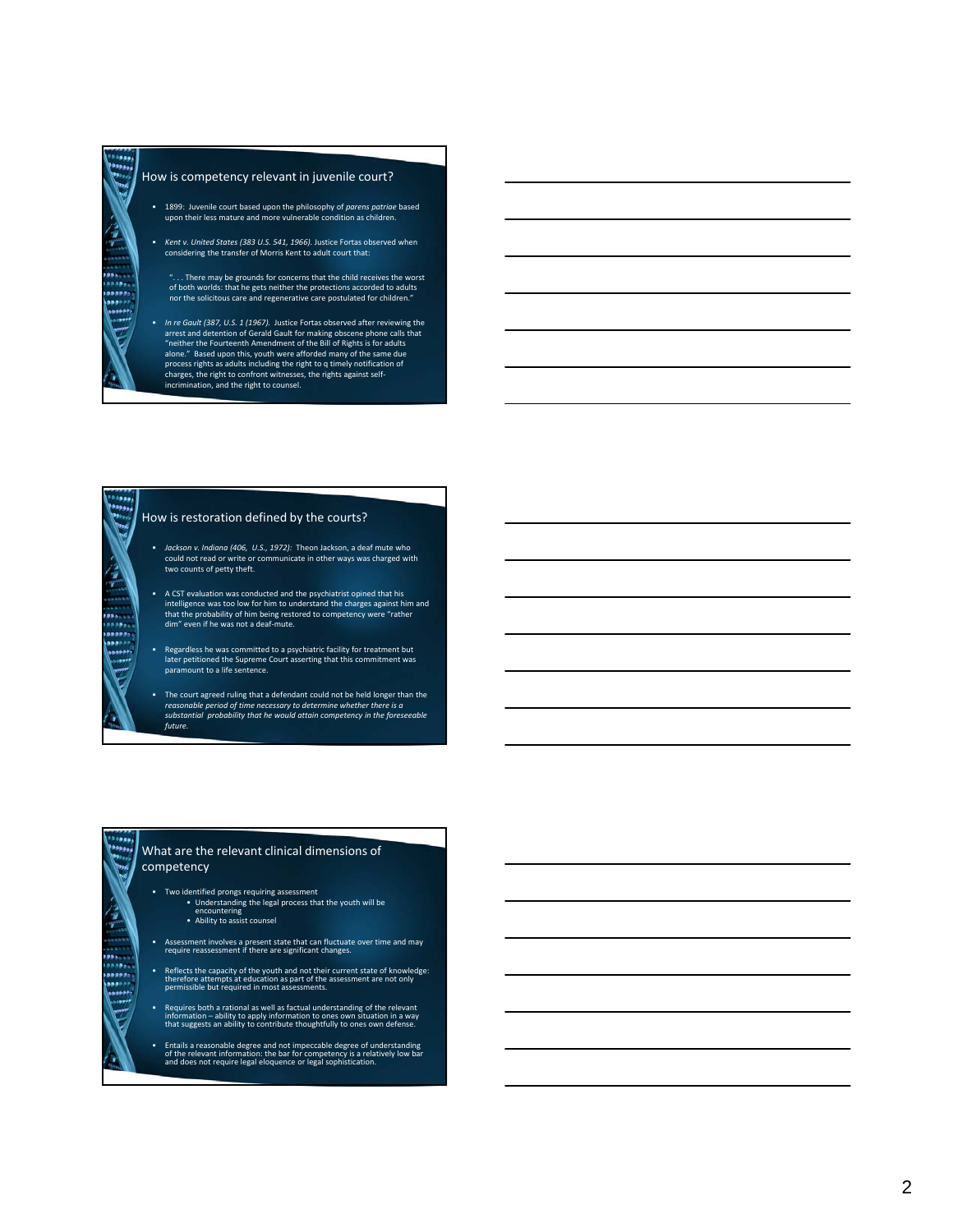$\mathbf{\hat{e}}$ 

 $\ddot{x}$  $......$ ,,,,, ببين

بووه

¢

,,,,, ..... ..... .....

#### How is competency relevant in juvenile court?

- 1899: Juvenile court based upon the philosophy of *parens patriae* based upon their less mature and more vulnerable condition as children.
- *Kent v. United States (383 U.S. 541, 1966).* Justice Fortas observed when considering the transfer of Morris Kent to adult court that:
	- ". . . There may be grounds for concerns that the child receives the worst of both worlds: that he gets neither the protections accorded to adults nor the solicitous care and regenerative care postulated for children."
- *In re Gault (387, U.S. 1 (1967).* Justice Fortas observed after reviewing the arrest and detention of Gerald Gault for making obscene phone calls that "neither the Fourteenth Amendment of the Bill of Rights is for adults alone." Based upon this, youth were afforded many of the same due process rights as adults including the right to q timely notification of charges, the right to confront witnesses, the rights against self‐ incrimination, and the right to counsel.

# How is restoration defined by the courts?

- *Jackson v. Indiana (406, U.S., 1972):* Theon Jackson, a deaf mute who could not read or write or communicate in other ways was charged with two counts of petty theft.
- A CST evaluation was conducted and the psychiatrist opined that his intelligence was too low for him to understand the charges against him and that the probability of him being restored to competency were "rather dim" even if he was not a deaf‐mute.
- Regardless he was committed to a psychiatric facility for treatment but later petitioned the Supreme Court asserting that this commitment was paramount to a life sentence.
- The court agreed ruling that a defendant could not be held longer than the reasonable period of time necessary to determine whether there is a<br>substantial probability that he would attain competency in the foreseeable *future.*

### What are the relevant clinical dimensions of competency

- 
- Two identified prongs requiring assessment<br>• Understanding the legal process that the youth will be<br>• encountering<br>• Ability to assist counsel
- Assessment involves <sup>a</sup> present state that can fluctuate over time and may require reassessment if there are significant changes.
- Reflects the capacity of the youth and not their current state of knowledge: therefore attempts at education as part of the assessment are not only permissible but required in most assessments.
- Requires both <sup>a</sup> rational as well as factual understanding of the relevant information ability to apply information to ones own situation in <sup>a</sup> way that suggests an ability to contribute thoughtfully to ones own defense.
- Entails <sup>a</sup> reasonable degree and not impeccable degree of understanding of the relevant information: the bar for competency is <sup>a</sup> relatively low bar and does not require legal eloquence or legal sophistication.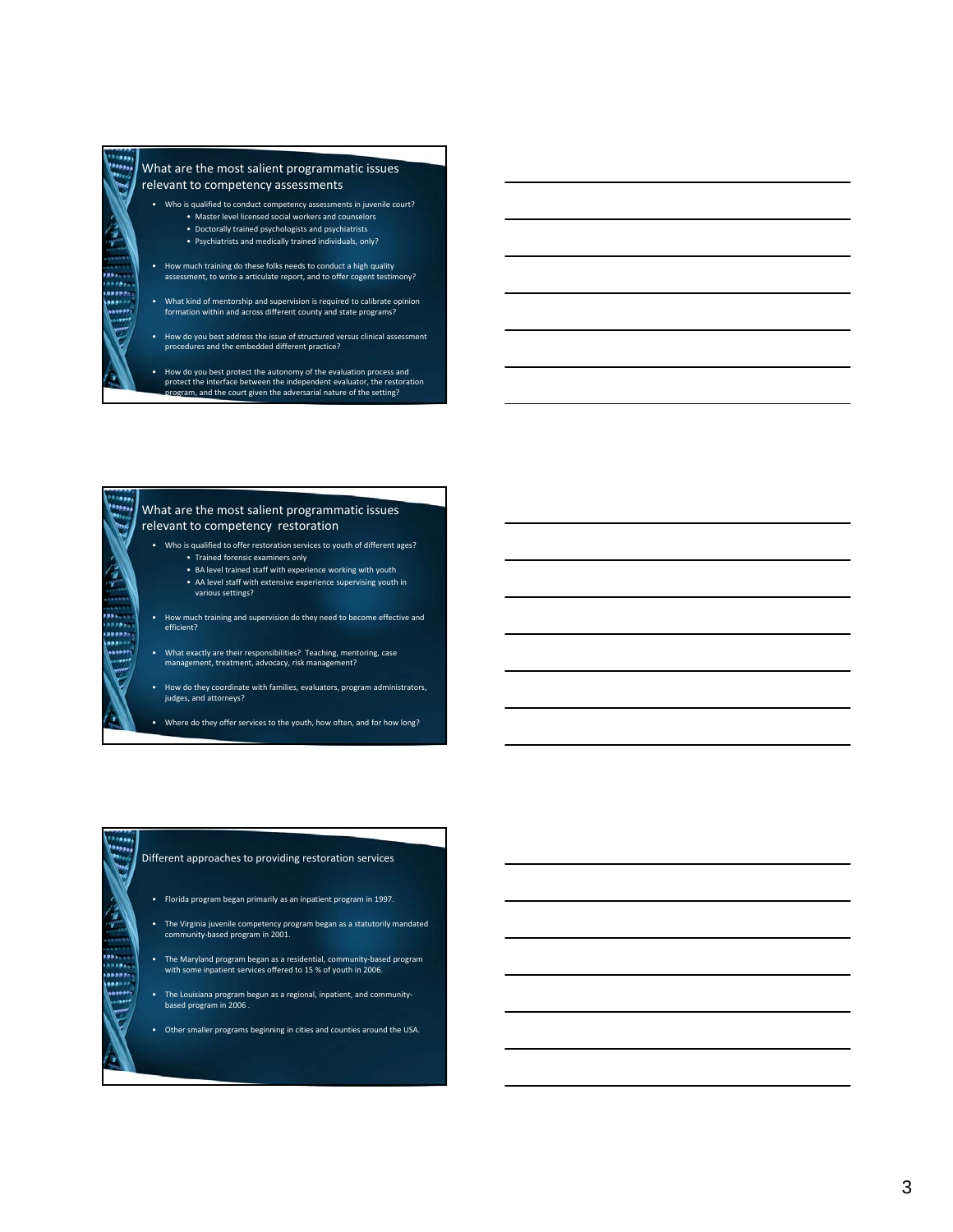10001

ę

,,,,,  $......$ ,,,,, .....

 $\epsilon$ 

 $\frac{1}{2}$ ,,,, زدهم

#### What are the most salient programmatic issues relevant to competency assessments

- Who is qualified to conduct competency assessments in juvenile court? • Master level licensed social workers and counselors • Doctorally trained psychologists and psychiatrists
	- Psychiatrists and medically trained individuals, only?
- How much training do these folks needs to conduct a high quality assessment, to write a articulate report, and to offer cogent testimony?
- What kind of mentorship and supervision is required to calibrate opinion formation within and across different county and state programs?
- How do you best address the issue of structured versus clinical assessment procedures and the embedded different practice?
- How do you best protect the autonomy of the evaluation process and protect the interface between the independent evaluator, the restoration program, and the court given the adversarial nature of the setting?

### What are the most salient programmatic issues relevant to competency restoration

- Who is qualified to offer restoration services to youth of different ages?
	- Trained forensic examiners only
	- BA level trained staff with experience working with youth
	- AA level staff with extensive experience supervising youth in various settings?
- How much training and supervision do they need to become effective and efficient?
- What exactly are their responsibilities? Teaching, mentoring, case management, treatment, advocacy, risk management?
- How do they coordinate with families, evaluators, program administrators, judges, and attorneys?

• Where do they offer services to the youth, how often, and for how long?

### Different approaches to providing restoration services

- Florida program began primarily as an inpatient program in 1997.
- The Virginia juvenile competency program began as a statutorily mandated community‐based program in 2001.
- The Maryland program began as a residential, community‐based program with some inpatient services offered to 15 % of youth in 2006.
- The Louisiana program begun as a regional, inpatient, and community‐ based program in 2006 .
- Other smaller programs beginning in cities and counties around the USA.